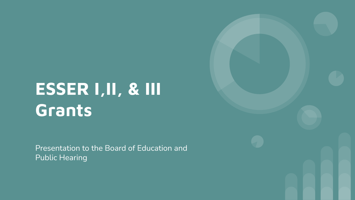# **ESSER I,II, & III Grants**

Presentation to the Board of Education and Public Hearing

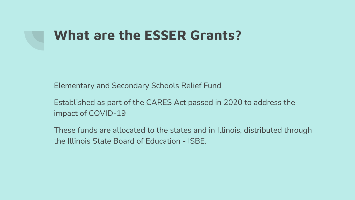# **What are the ESSER Grants?**

Elementary and Secondary Schools Relief Fund

Established as part of the CARES Act passed in 2020 to address the impact of COVID-19

These funds are allocated to the states and in Illinois, distributed through the Illinois State Board of Education - ISBE.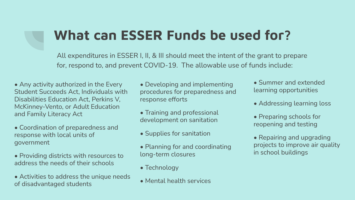# **What can ESSER Funds be used for?**

All expenditures in ESSER I, II, & III should meet the intent of the grant to prepare for, respond to, and prevent COVID-19. The allowable use of funds include:

- Any activity authorized in the Every Student Succeeds Act, Individuals with Disabilities Education Act, Perkins V, McKinney-Vento, or Adult Education and Family Literacy Act
- Coordination of preparedness and response with local units of government
- Providing districts with resources to address the needs of their schools
- Activities to address the unique needs of disadvantaged students
- Developing and implementing procedures for preparedness and response efforts
- Training and professional development on sanitation
- Supplies for sanitation
- Planning for and coordinating long-term closures
- Technology
- Mental health services
- Summer and extended learning opportunities
- Addressing learning loss
- Preparing schools for reopening and testing
- Repairing and upgrading projects to improve air quality in school buildings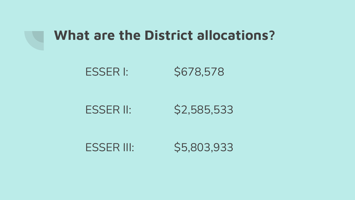

#### **What are the District allocations?**

ESSER I: \$678,578

ESSER II: \$2,585,533

ESSER III: \$5,803,933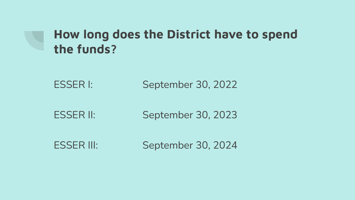#### **How long does the District have to spend the funds?**

ESSER I: September 30, 2022

ESSER II: September 30, 2023

ESSER III: September 30, 2024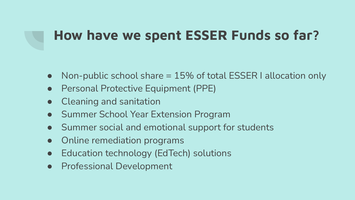# **How have we spent ESSER Funds so far?**

- Non-public school share = 15% of total ESSER I allocation only
- Personal Protective Equipment (PPE)
- Cleaning and sanitation
- **Summer School Year Extension Program**
- Summer social and emotional support for students
- Online remediation programs
- Education technology (EdTech) solutions
- **Professional Development**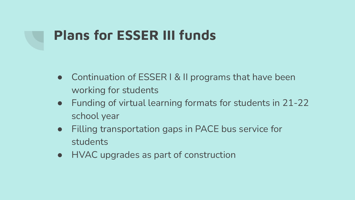# **Plans for ESSER III funds**

- Continuation of ESSER I & II programs that have been working for students
- Funding of virtual learning formats for students in 21-22 school year
- Filling transportation gaps in PACE bus service for students
- HVAC upgrades as part of construction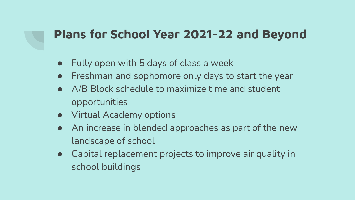#### **Plans for School Year 2021-22 and Beyond**

- Fully open with 5 days of class a week
- Freshman and sophomore only days to start the year
- A/B Block schedule to maximize time and student opportunities
- Virtual Academy options
- An increase in blended approaches as part of the new landscape of school
- Capital replacement projects to improve air quality in school buildings